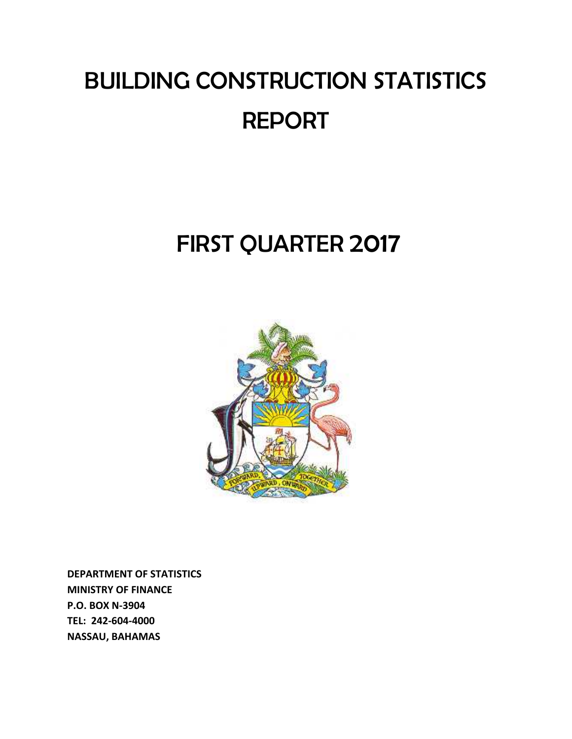# BUILDING CONSTRUCTION STATISTICS REPORT

## FIRST QUARTER 2017



**DEPARTMENT OF STATISTICS MINISTRY OF FINANCE P.O. BOX N‐3904 TEL: 242‐604‐4000 NASSAU, BAHAMAS**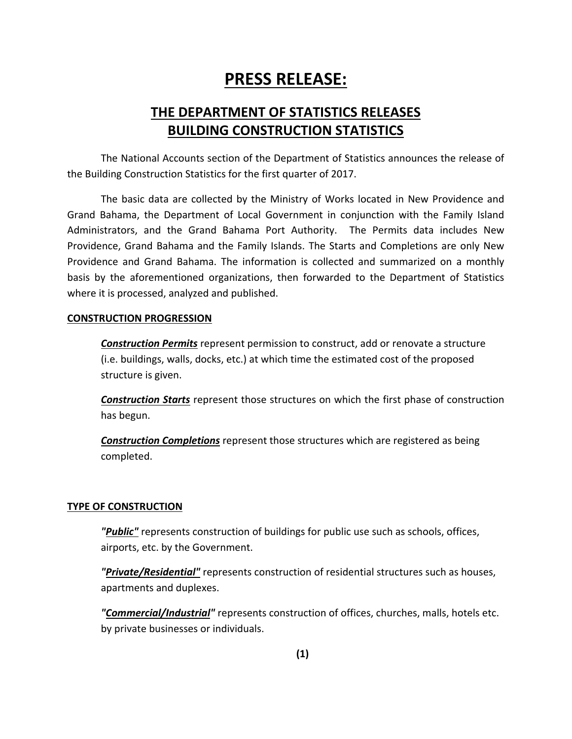### **PRESS RELEASE:**

### **THE DEPARTMENT OF STATISTICS RELEASES BUILDING CONSTRUCTION STATISTICS**

The National Accounts section of the Department of Statistics announces the release of the Building Construction Statistics for the first quarter of 2017.

The basic data are collected by the Ministry of Works located in New Providence and Grand Bahama, the Department of Local Government in conjunction with the Family Island Administrators, and the Grand Bahama Port Authority. The Permits data includes New Providence, Grand Bahama and the Family Islands. The Starts and Completions are only New Providence and Grand Bahama. The information is collected and summarized on a monthly basis by the aforementioned organizations, then forwarded to the Department of Statistics where it is processed, analyzed and published.

### **CONSTRUCTION PROGRESSION**

*Construction Permits* represent permission to construct, add or renovate a structure (i.e. buildings, walls, docks, etc.) at which time the estimated cost of the proposed structure is given.

*Construction Starts* represent those structures on which the first phase of construction has begun.

*Construction Completions* represent those structures which are registered as being completed.

### **TYPE OF CONSTRUCTION**

*"Public"* represents construction of buildings for public use such as schools, offices, airports, etc. by the Government.

*"Private/Residential"* represents construction of residential structures such as houses, apartments and duplexes.

*"Commercial/Industrial"* represents construction of offices, churches, malls, hotels etc. by private businesses or individuals.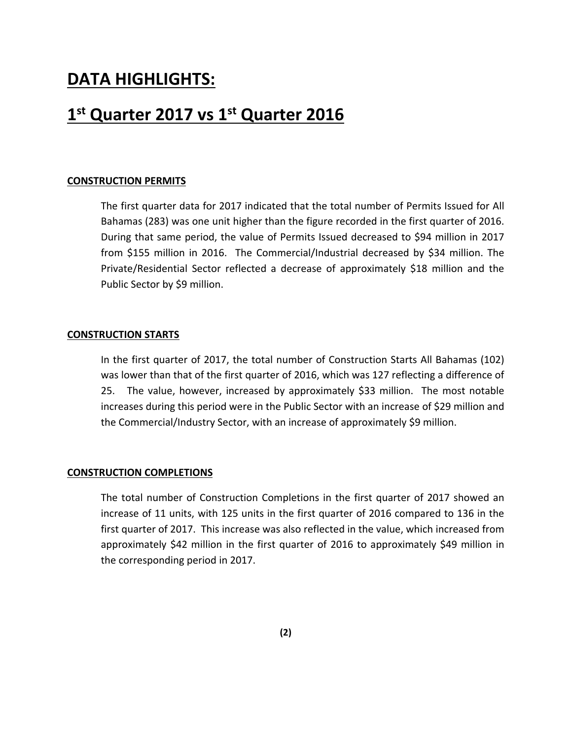### **DATA HIGHLIGHTS:**

### **1st Quarter 2017 vs 1st Quarter 2016**

#### **CONSTRUCTION PERMITS**

The first quarter data for 2017 indicated that the total number of Permits Issued for All Bahamas (283) was one unit higher than the figure recorded in the first quarter of 2016. During that same period, the value of Permits Issued decreased to \$94 million in 2017 from \$155 million in 2016. The Commercial/Industrial decreased by \$34 million. The Private/Residential Sector reflected a decrease of approximately \$18 million and the Public Sector by \$9 million.

#### **CONSTRUCTION STARTS**

In the first quarter of 2017, the total number of Construction Starts All Bahamas (102) was lower than that of the first quarter of 2016, which was 127 reflecting a difference of 25. The value, however, increased by approximately \$33 million. The most notable increases during this period were in the Public Sector with an increase of \$29 million and the Commercial/Industry Sector, with an increase of approximately \$9 million.

#### **CONSTRUCTION COMPLETIONS**

The total number of Construction Completions in the first quarter of 2017 showed an increase of 11 units, with 125 units in the first quarter of 2016 compared to 136 in the first quarter of 2017. This increase was also reflected in the value, which increased from approximately \$42 million in the first quarter of 2016 to approximately \$49 million in the corresponding period in 2017.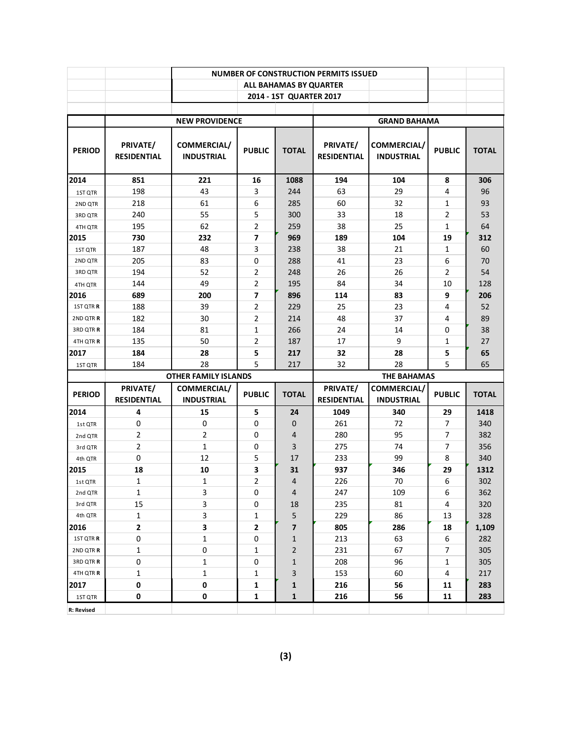|               |                                |                                  |                |                         | <b>NUMBER OF CONSTRUCTION PERMITS ISSUED</b> |                                  |                |              |
|---------------|--------------------------------|----------------------------------|----------------|-------------------------|----------------------------------------------|----------------------------------|----------------|--------------|
|               |                                |                                  |                | ALL BAHAMAS BY QUARTER  |                                              |                                  |                |              |
|               |                                |                                  |                | 2014 - 1ST QUARTER 2017 |                                              |                                  |                |              |
|               |                                |                                  |                |                         |                                              |                                  |                |              |
|               |                                | <b>NEW PROVIDENCE</b>            |                |                         |                                              | <b>GRAND BAHAMA</b>              |                |              |
| <b>PERIOD</b> | PRIVATE/<br><b>RESIDENTIAL</b> | COMMERCIAL/<br><b>INDUSTRIAL</b> | <b>PUBLIC</b>  | <b>TOTAL</b>            | PRIVATE/<br><b>RESIDENTIAL</b>               | COMMERCIAL/<br><b>INDUSTRIAL</b> | <b>PUBLIC</b>  | <b>TOTAL</b> |
| 2014          | 851                            | 221                              | 16             | 1088                    | 194                                          | 104                              | 8              | 306          |
| 1ST QTR       | 198                            | 43                               | 3              | 244                     | 63                                           | 29                               | 4              | 96           |
| 2ND QTR       | 218                            | 61                               | 6              | 285                     | 60                                           | 32                               | 1              | 93           |
| 3RD QTR       | 240                            | 55                               | 5              | 300                     | 33                                           | 18                               | $\overline{2}$ | 53           |
| 4TH QTR       | 195                            | 62                               | 2              | 259                     | 38                                           | 25                               | 1              | 64           |
| 2015          | 730                            | 232                              | 7              | 969                     | 189                                          | 104                              | 19             | 312          |
| 1ST QTR       | 187                            | 48                               | 3              | 238                     | 38                                           | 21                               | 1              | 60           |
| 2ND QTR       | 205                            | 83                               | 0              | 288                     | 41                                           | 23                               | 6              | 70           |
| 3RD QTR       | 194                            | 52                               | 2              | 248                     | 26                                           | 26                               | 2              | 54           |
| 4TH QTR       | 144                            | 49                               | 2              | 195                     | 84                                           | 34                               | 10             | 128          |
| 2016          | 689                            | 200                              | 7              | 896                     | 114                                          | 83                               | 9              | 206          |
| 1ST QTR R     | 188                            | 39                               | 2              | 229                     | 25                                           | 23                               | 4              | 52           |
| 2ND QTR R     | 182                            | 30                               | 2              | 214                     | 48                                           | 37                               | 4              | 89           |
| 3RD QTR R     | 184                            | 81                               | 1              | 266                     | 24                                           | 14                               | 0              | 38           |
| 4TH QTR R     | 135                            | 50                               | 2              | 187                     | 17                                           | 9                                | 1              | 27           |
| 2017          | 184                            | 28                               | 5              | 217                     | 32                                           | 28                               | 5              | 65           |
| 1ST QTR       | 184                            | 28                               | 5              | 217                     | 32                                           | 28                               | 5              | 65           |
|               |                                | <b>OTHER FAMILY ISLANDS</b>      |                |                         |                                              | <b>THE BAHAMAS</b>               |                |              |
| <b>PERIOD</b> | PRIVATE/                       | COMMERCIAL/                      | <b>PUBLIC</b>  | <b>TOTAL</b>            | PRIVATE/                                     | COMMERCIAL/                      | <b>PUBLIC</b>  | <b>TOTAL</b> |
|               | <b>RESIDENTIAL</b>             | <b>INDUSTRIAL</b>                |                |                         | <b>RESIDENTIAL</b>                           | <b>INDUSTRIAL</b>                |                |              |
| 2014          | 4                              | 15                               | 5              | 24                      | 1049                                         | 340                              | 29             | 1418         |
| 1st QTR       | 0                              | $\mathbf 0$                      | 0              | 0                       | 261                                          | 72                               | $\overline{7}$ | 340          |
| 2nd QTR       | 2                              | 2                                | 0              | 4                       | 280                                          | 95                               | 7              | 382          |
| 3rd QTR       | $\overline{2}$                 | $\mathbf{1}$                     | 0              | 3                       | 275                                          | 74                               | 7              | 356          |
| 4th QTR       | $\pmb{0}$                      | 12                               | 5              | 17                      | 233                                          | 99                               | 8              | 340          |
| 2015          | 18                             | 10                               | 3              | 31                      | 937                                          | 346                              | 29             | 1312         |
| 1st QTR       | $\mathbf{1}$                   | $\mathbf{1}$                     | $\overline{2}$ | $\overline{4}$          | 226                                          | 70                               | 6              | 302          |
| 2nd QTR       | 1                              | 3                                | 0              | 4                       | 247                                          | 109                              | 6              | 362          |
| 3rd QTR       | 15                             | 3                                | 0              | 18                      | 235                                          | 81                               | 4              | 320          |
| 4th QTR       | 1                              | 3                                | 1              | 5                       | 229                                          | 86                               | 13             | 328          |
| 2016          | 2                              | 3                                | 2              | 7                       | 805                                          | 286                              | 18             | 1,109        |
| 1ST QTR R     | 0                              | 1                                | 0              | $\mathbf{1}$            | 213                                          | 63                               | 6              | 282          |
| 2ND QTR R     | $\mathbf{1}$                   | $\mathbf 0$                      | 1              | 2                       | 231                                          | 67                               | 7              | 305          |
| 3RD QTR R     | 0                              | 1                                | 0              | $\mathbf{1}$            | 208                                          | 96                               | 1              | 305          |
| 4TH QTR R     | 1                              | 1                                | 1              | 3                       | 153                                          | 60                               | 4              | 217          |
| 2017          | 0                              | 0                                | 1              | 1                       | 216                                          | 56                               | 11             | 283          |
| 1ST QTR       | 0                              | 0                                | 1              | $\mathbf{1}$            | 216                                          | 56                               | 11             | 283          |
| R: Revised    |                                |                                  |                |                         |                                              |                                  |                |              |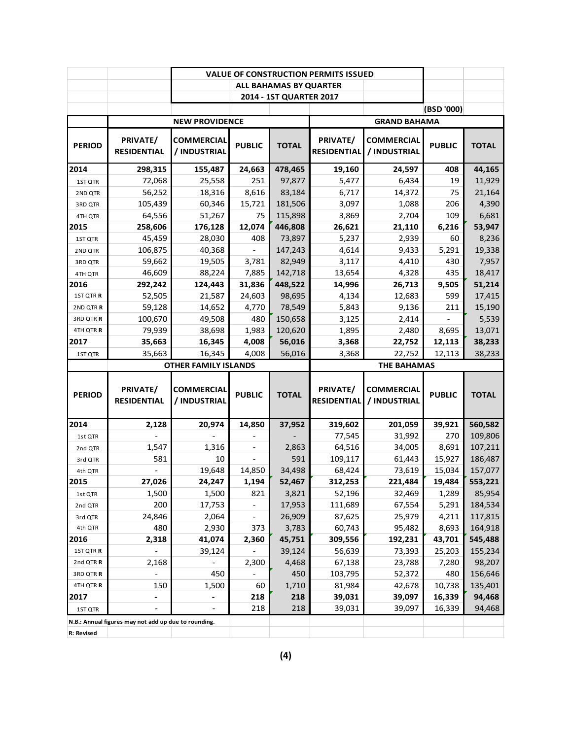|               |                                                      |                                   |                          |                         | <b>VALUE OF CONSTRUCTION PERMITS ISSUED</b> |                                   |                  |              |
|---------------|------------------------------------------------------|-----------------------------------|--------------------------|-------------------------|---------------------------------------------|-----------------------------------|------------------|--------------|
|               |                                                      |                                   |                          | ALL BAHAMAS BY QUARTER  |                                             |                                   |                  |              |
|               |                                                      |                                   |                          | 2014 - 1ST QUARTER 2017 |                                             |                                   |                  |              |
|               |                                                      |                                   |                          |                         |                                             |                                   | (BSD '000)       |              |
|               |                                                      | <b>NEW PROVIDENCE</b>             |                          |                         |                                             | <b>GRAND BAHAMA</b>               |                  |              |
| <b>PERIOD</b> | PRIVATE/<br><b>RESIDENTIAL</b>                       | <b>COMMERCIAL</b><br>/ INDUSTRIAL | <b>PUBLIC</b>            | <b>TOTAL</b>            | PRIVATE/<br><b>RESIDENTIAL</b>              | <b>COMMERCIAL</b><br>/ INDUSTRIAL | <b>PUBLIC</b>    | <b>TOTAL</b> |
| 2014          | 298,315                                              | 155,487                           | 24,663                   | 478,465                 | 19,160                                      | 24,597                            | 408              | 44,165       |
| 1ST QTR       | 72,068                                               | 25,558                            | 251                      | 97,877                  | 5,477                                       | 6,434                             | 19               | 11,929       |
| 2ND QTR       | 56,252                                               | 18,316                            | 8,616                    | 83,184                  | 6,717                                       | 14,372                            | 75               | 21,164       |
| 3RD QTR       | 105,439                                              | 60,346                            | 15,721                   | 181,506                 | 3,097                                       | 1,088                             | 206              | 4,390        |
| 4TH QTR       | 64,556                                               | 51,267                            | 75                       | 115,898                 | 3,869                                       | 2,704                             | 109              | 6,681        |
| 2015          | 258,606                                              | 176,128                           | 12,074                   | 446,808                 | 26,621                                      | 21,110                            | 6,216            | 53,947       |
| 1ST QTR       | 45,459                                               | 28,030                            | 408                      | 73,897                  | 5,237                                       | 2,939                             | 60               | 8,236        |
| 2ND QTR       | 106,875                                              | 40,368                            |                          | 147,243                 | 4,614                                       | 9,433                             | 5,291            | 19,338       |
| 3RD QTR       | 59,662                                               | 19,505                            | 3,781                    | 82,949                  | 3,117                                       | 4,410                             | 430              | 7,957        |
| 4TH QTR       | 46,609                                               | 88,224                            | 7,885                    | 142,718                 | 13,654                                      | 4,328                             | 435              | 18,417       |
| 2016          | 292,242                                              | 124,443                           | 31,836                   | 448,522                 | 14,996                                      | 26,713                            | 9,505            | 51,214       |
| 1ST QTR R     | 52,505                                               | 21,587                            | 24,603                   | 98,695                  | 4,134                                       | 12,683                            | 599              | 17,415       |
| 2ND QTR R     | 59,128                                               | 14,652                            | 4,770                    | 78,549                  | 5,843                                       | 9,136                             | 211              | 15,190       |
| 3RD QTR R     | 100,670                                              | 49,508                            | 480                      | 150,658                 | 3,125                                       | 2,414                             |                  | 5,539        |
| 4TH QTR R     | 79,939                                               | 38,698                            | 1,983                    | 120,620                 | 1,895                                       | 2,480                             | 8,695            | 13,071       |
| 2017          | 35,663                                               | 16,345                            | 4,008                    | 56,016                  | 3,368                                       | 22,752                            | 12,113           | 38,233       |
| 1ST QTR       | 35,663                                               | 16,345                            | 4,008                    | 56,016                  | 3,368                                       | 22,752                            | 12,113           | 38,233       |
|               |                                                      |                                   |                          |                         |                                             |                                   |                  |              |
|               |                                                      | <b>OTHER FAMILY ISLANDS</b>       |                          |                         |                                             | <b>THE BAHAMAS</b>                |                  |              |
| <b>PERIOD</b> | PRIVATE/<br><b>RESIDENTIAL</b>                       | <b>COMMERCIAL</b><br>/ INDUSTRIAL | <b>PUBLIC</b>            | <b>TOTAL</b>            | PRIVATE/<br><b>RESIDENTIAL</b>              | <b>COMMERCIAL</b><br>/ INDUSTRIAL | <b>PUBLIC</b>    | <b>TOTAL</b> |
| 2014          | 2,128                                                | 20,974                            | 14,850                   | 37,952                  | 319,602                                     | 201,059                           | 39,921           | 560,582      |
| 1st QTR       |                                                      |                                   |                          |                         | 77,545                                      | 31,992                            | 270              | 109,806      |
| 2nd QTR       | 1,547                                                | 1,316                             |                          | 2,863                   | 64,516                                      | 34,005                            | 8,691            | 107,211      |
| 3rd QTR       | 581                                                  | 10                                |                          | 591                     | 109,117                                     | 61,443                            | 15,927           | 186,487      |
| 4th QTR       |                                                      | 19,648                            | 14,850                   | 34,498                  | 68,424                                      | 73,619                            | 15,034           | 157,077      |
| 2015          | 27,026                                               | 24.247                            | 1,194                    | 52,467                  | 312,253                                     | 221.484                           | 19,484           | 553,221      |
| 1st QTR       | 1,500                                                | 1,500                             | 821                      | 3,821                   | 52,196                                      | 32,469                            | 1,289            | 85,954       |
| 2nd QTR       | 200                                                  | 17,753                            |                          | 17,953                  | 111,689                                     | 67,554                            | 5,291            | 184,534      |
| 3rd QTR       | 24,846                                               | 2,064                             | $\overline{\phantom{0}}$ | 26,909                  | 87,625                                      | 25,979                            | 4,211            | 117,815      |
| 4th QTR       | 480                                                  | 2,930                             | 373                      | 3,783                   | 60,743                                      | 95,482                            | 8,693            | 164,918      |
| 2016          |                                                      |                                   |                          |                         |                                             |                                   |                  | 545,488      |
| 1ST QTR R     | 2,318                                                | 41,074<br>39,124                  | 2,360                    | 45,751<br>39,124        | 309,556<br>56,639                           | 192,231<br>73,393                 | 43,701<br>25,203 | 155,234      |
| 2nd QTR R     | 2,168                                                |                                   | 2,300                    | 4,468                   | 67,138                                      | 23,788                            | 7,280            | 98,207       |
| 3RD QTR R     |                                                      | 450                               |                          | 450                     | 103,795                                     | 52,372                            | 480              | 156,646      |
| 4TH QTR R     | 150                                                  | 1,500                             | 60                       | 1,710                   | 81,984                                      | 42,678                            | 10,738           | 135,401      |
| 2017          |                                                      |                                   | 218                      | 218                     | 39,031                                      | 39,097                            | 16,339           | 94,468       |
| 1ST QTR       |                                                      |                                   | 218                      | 218                     | 39,031                                      | 39,097                            | 16,339           | 94,468       |
|               | N.B.: Annual figures may not add up due to rounding. |                                   |                          |                         |                                             |                                   |                  |              |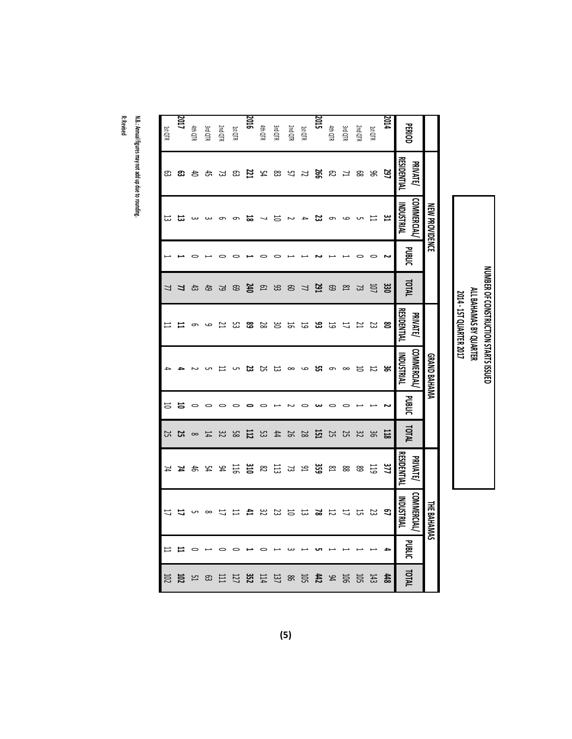|                |                                         | <b>NEW PROVIDENCE</b>                  |               |                |                         | GRAND BAHAMA                    |               |                 |                                      | <b>THE BAHAMAS</b>                     |               |            |
|----------------|-----------------------------------------|----------------------------------------|---------------|----------------|-------------------------|---------------------------------|---------------|-----------------|--------------------------------------|----------------------------------------|---------------|------------|
| <b>PERIOD</b>  | <b>RESIDENTIAL</b><br><b>PRIVATE</b>    | <b>COMMERCIAL</b><br><b>INDUSTRIAL</b> | <b>PUBLIC</b> | <b>TOTAL</b>   | RESIDENTIAL<br>PRIVATE/ | <b>COMMERCIAL</b><br>INDUSTRIAL | <b>PUBLIC</b> | TOTAL           | <b>ESIDENTIAL</b><br><b>PRIVATE/</b> | <b>COMMERCIAL</b><br><b>INDUSTRIAL</b> | <b>PUBLIC</b> | TOTAL      |
| 2014           | 297                                     | بیر                                    |               | ឌ្ល            | ຮ                       | ఙ                               |               | 118             | 11                                   | S)                                     | ≏             | 448        |
| 1st QTR        | ട്ട                                     | ⊨                                      |               | <b>UD</b>      | ಜ                       | 12                              |               | 96              | 119                                  | ន                                      |               | 143        |
| 2nd QTR        | ஐ                                       |                                        |               | 23             | ピ                       | 능                               |               | 32              | 89                                   | 5                                      |               | <b>102</b> |
| <b>3rd QTR</b> | ュ                                       | ص                                      |               | $^{18}$        | 1J                      | $\infty$                        |               | 25              | 88                                   | ニ                                      |               | <b>106</b> |
| 4th QTR        | ದಿ                                      |                                        |               | 69             | 5                       | ൭                               |               | 25              | ß                                    | 12                                     |               | 94         |
| 2015           |                                         | జ                                      |               | 291            | 33                      | ្ហ                              |               | 던               | ន្ធ                                  | ឌ                                      |               | t#         |
| 1st QTR        | ន្ត្រ                                   |                                        |               | $\overline{u}$ | 5                       | ص                               |               | 28              | 91                                   | 53                                     |               | 502        |
| 2nd QTR        |                                         |                                        |               | $\mathfrak{S}$ |                         | $\infty$                        |               | 50              | 53                                   |                                        |               | 98         |
| <b>3rd QTR</b> | $P$ $\approx$ $\approx$ $\frac{51}{21}$ |                                        |               | 93             | 7885                    |                                 |               | #               | 113                                  | 122                                    |               | 137        |
| 4th QTR        |                                         |                                        |               | Γg             |                         | <b>ដ ដ</b>                      |               | 53              | $\mathbb{S}^2$                       | $32\,$                                 |               | 114        |
| 2016           |                                         | ಹ                                      |               | 240            | <u>දි</u>               | జ                               |               | 112             | ប្ដ                                  | 컥                                      |               | 352        |
| 1st QTR        |                                         |                                        |               | 69             | ಜ                       |                                 |               | 85              | 115                                  | 〓                                      |               | 177        |
| 2nd QTR        | ಜ ಜ                                     |                                        |               | 79             | ≍                       |                                 |               | 32              | 94                                   |                                        |               | 巨          |
| Зга ФТК        | ਨੀ                                      |                                        |               | 49             | ص                       |                                 |               | 14              | ኳ                                    | $\infty$                               |               | ස          |
| <b>#hQTR</b>   | ਠੋ                                      |                                        |               | 43             | 9                       |                                 |               | $\infty$        | 45                                   |                                        |               | 끔          |
| 2017           | ස                                       | ದ                                      |               | 4              |                         |                                 | 능             | $\frac{25}{25}$ | 7                                    |                                        |               | 102        |
| 1st QTR        | ස                                       | 53                                     |               | 77             | 〓                       |                                 | 능             |                 | 74                                   | 17                                     | Ħ             | 102        |

**NUMBER OF**

**ALL**

**BAHAMAS BY QUARTER**

 **‐ 1ST**

**QUARTER**

**CONSTRUCTION**

**STARTS**

**ISSUED**

**R: Revised**

**N.B.: Annual figures may**

**not add up due to rounding.**

**(5)**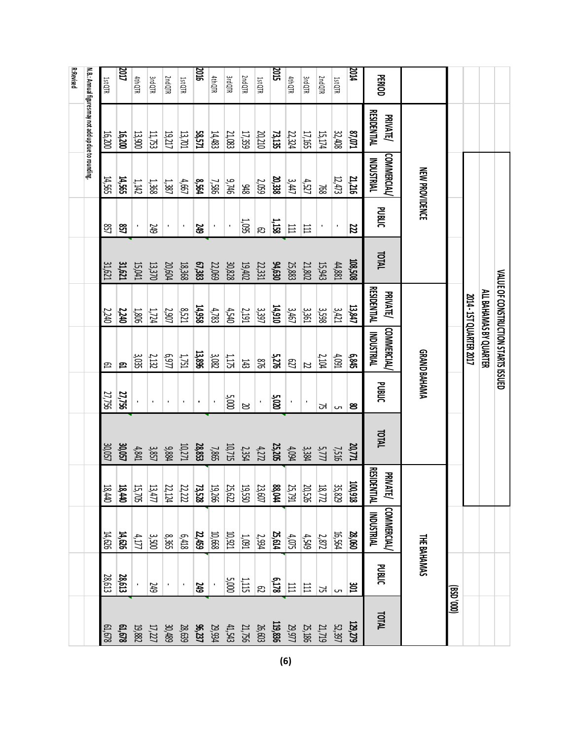|                  |                                                      |                                 |                 |              |                                       | VALUE OF CONSTRUCTION STARTS ISSUED    |                |              |                                       |                                  |                |              |
|------------------|------------------------------------------------------|---------------------------------|-----------------|--------------|---------------------------------------|----------------------------------------|----------------|--------------|---------------------------------------|----------------------------------|----------------|--------------|
|                  |                                                      |                                 |                 |              |                                       | ALL BAHAMAS BY QUARTER                 |                |              |                                       |                                  |                |              |
|                  |                                                      |                                 |                 |              |                                       | 2014 - 15T QUARTER 2017                |                |              |                                       |                                  |                |              |
|                  |                                                      |                                 |                 |              |                                       |                                        |                |              |                                       |                                  |                | (000, 0SB)   |
|                  |                                                      | <b>NEW PROVIDENCE</b>           |                 |              |                                       |                                        | GRAND BAHAMA   |              |                                       | <b>THE BAHAMAS</b>               |                |              |
| <b>PERIOD</b>    | <b>RESIDENTIAL</b><br><b>PRIVATE/</b>                | <b>COMMERCIAL</b><br>INDUSTRIAL | <b>PUBLIC</b>   | <b>TOTAL</b> | <b>RESIDENTIAL</b><br><b>PRIVATE/</b> | <b>COMMERCIAL</b><br><b>INDUSTRIAL</b> | <b>PUBLIC</b>  | <b>TOTAL</b> | <b>RESIDENTIAL</b><br><b>PRIVATE/</b> | <b>INDUSTRIAL</b><br>COMMERCIAL/ | <b>PUBLIC</b>  | <b>TOTAL</b> |
| <b>ALC</b>       | <b>ELO'LS</b>                                        | 21,216                          | 22              | 108,508      | 13,847                                | 6,845                                  | ຮ              | 20,771       | 100,918                               | 28,060                           | ឌ              | 129,279      |
| 1st QTR          | 32,408                                               | 12,473                          | $\blacksquare$  | $44,881$     | 3421                                  | 4,091                                  | C              | 7,516        | 35,829                                | 16,564                           | Сn             | 52,397       |
| 2nd QTR          | 15,174                                               | 897                             |                 | 15,943       | 3,598                                 | 2,104                                  | 54             | 5,777        | 18,772                                | 2,872                            | 54             | 21,719       |
| <b>3rdQTR</b>    | 17,165                                               | 4,527                           | $\overline{11}$ | 21,802       | 1350                                  | Z                                      | $\blacksquare$ | 3,384        | 20,526                                | 4,549                            | 日              | 25,186       |
| 4th QTR          | 22,324                                               | 3,447                           | $111$           | 25,883       | 3,467                                 | <b>P27</b>                             | $\blacksquare$ | 4,094        | 25,791                                | $4,075$                          | 日              | 29,977       |
| 2015             | 73, 135                                              | 20,338                          | 1,158           | 94,630       | 14,910                                | 5,276                                  | 5,020          | 25,205       | <b>BS,044</b>                         | 25,614                           | 6,178          | 119,836      |
| 1st QTR          | 20,210                                               | 2,059                           | R)              | 22,331       | 397                                   | 918                                    | $\cdot$        | 4,272        | 23,607                                | 2,934                            | R,             | 26,603       |
| 2nd QTR          | 17,359                                               | 948                             | 1,095           | 19,402       | 2,191                                 | 143                                    | N              | 2,354        | <b>USS'60</b>                         | 1001                             | $1,115$        | 21,756       |
| 3rd QTR          | 21,083                                               | 9,746                           | $\cdot$         | 30,828       | 4,540                                 | $1,175$                                | 5,000          | 10,715       | 25,622                                | 10,921                           | 5,000          | 41,543       |
| 4th QTR          | 14,483                                               | 7,586                           | $\blacksquare$  | 22,069       | 4,783                                 | $3,082$                                |                | 7,865        | 19,266                                | 10,668                           |                | 29,934       |
| <b>2016</b>      | 58,571                                               | 8,564                           | <b>SE</b>       | 67,383       | 14,958                                | 13,896                                 |                | 28,853       | 73,528                                | 22,459                           | 34)            | 96,237       |
| 1st QTR          | 13,701                                               | 4,667                           | $\blacksquare$  | 18,368       | 8,521                                 | $1,751$                                | $\blacksquare$ | 10,271       | 22,222                                | 6,418                            | $\blacksquare$ | 28,639       |
| 2nd QTR          | 19,217                                               | 1,387                           | ٠               | 20,604       | <b>2,907</b>                          | 6,977                                  | $\blacksquare$ | 9,884        | 22,124                                | 8,365                            |                | 30,489       |
| <b>3rdQTR</b>    | 11,753                                               | 1,368                           | <b>GtZ</b>      | 13,370       | 1,724                                 | 2,132                                  | $\blacksquare$ | 3857         | 13,477                                | 3,500                            | <b>GtZ</b>     | 17,227       |
| 4th QTR          | 13,900                                               | 1,142                           |                 | 15,041       | <b>1,806</b>                          | 3,035                                  |                | 4,841        | 15,705                                | 4,177                            |                | 19,882       |
| LDZ              | 16,200                                               | 14,565                          | 857             | 31,621       | 2,240                                 | 요                                      | 27,756         | 30,057       | 18,440                                | 14,626                           | 28,613         | 61,678       |
| 1st QTR          | 16,200                                               | 14,565                          | සි              | 31,621       | 2,240                                 | β                                      | 27,756         | 30,057       | 18,440                                | 14,626                           | 28,613         | 61,678       |
|                  | N.B.: Annual figures may not add up due to rounding. |                                 |                 |              |                                       |                                        |                |              |                                       |                                  |                |              |
| <b>R:Revised</b> |                                                      |                                 |                 |              |                                       |                                        |                |              |                                       |                                  |                |              |
|                  |                                                      |                                 |                 |              |                                       |                                        |                |              |                                       |                                  |                |              |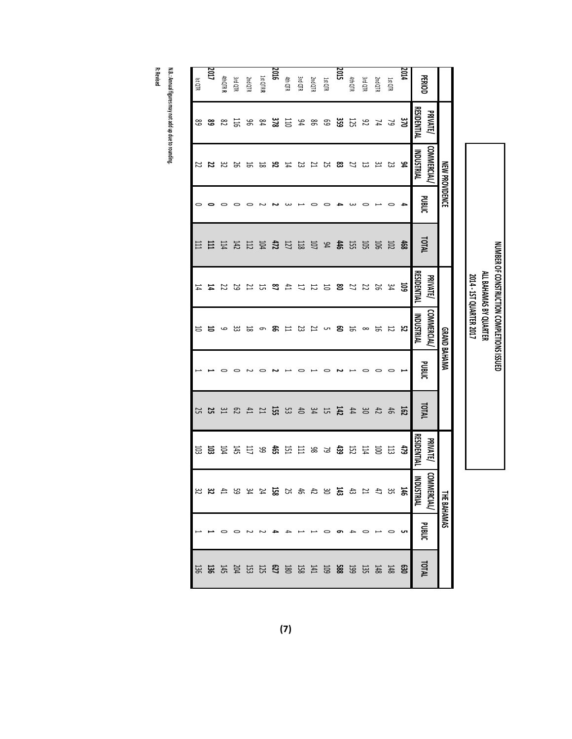|                |                 | NEW PROVIDENCE     |               |                                                                                                                                                                                                                                                                                                                                                                                                                                     |                 | GRAND BAHAMAA |        |              |             | <b>THE BAHAMAS</b>   |        |       |
|----------------|-----------------|--------------------|---------------|-------------------------------------------------------------------------------------------------------------------------------------------------------------------------------------------------------------------------------------------------------------------------------------------------------------------------------------------------------------------------------------------------------------------------------------|-----------------|---------------|--------|--------------|-------------|----------------------|--------|-------|
| PERIOD         | <b>PRIVATE/</b> | <b>COMMERCIAL/</b> | <b>PUBLIC</b> | <b>IDTAL</b>                                                                                                                                                                                                                                                                                                                                                                                                                        | <b>PRIVATE/</b> | COMMERCIAL/   | DUBLIC | TOTAL        | PRIVATE/    | g<br><b>MERCIAL/</b> | PUBLIC | TOTAL |
|                | RESIDENTIAL     | <b>INDUSTRIAL</b>  |               |                                                                                                                                                                                                                                                                                                                                                                                                                                     | RESIDENTIAL     | INDUSTRIAL    |        |              | RESIDENTIAL | 홍<br><b>USTRIAL</b>  |        |       |
| <b>2014</b>    | ឌ               | ೫                  | ≏             | \$9                                                                                                                                                                                                                                                                                                                                                                                                                                 | ន៑              | ង             |        | ខ្ល          | 43          | 146                  | ပာ     | g     |
| 1st QTR        |                 |                    | 0             |                                                                                                                                                                                                                                                                                                                                                                                                                                     |                 | 12            |        | க்           | 13          | 35                   |        | 148   |
| 2nd QTR        | 523             | ង ង                |               | <b>55 mg</b>                                                                                                                                                                                                                                                                                                                                                                                                                        | 34<br>26        | 능             |        |              | <b>SC</b>   | 47                   |        | 148   |
| <b>3rd QTR</b> |                 |                    |               |                                                                                                                                                                                                                                                                                                                                                                                                                                     | 22              | $\infty$      |        | <b>おめは</b>   | ĽД          | 21                   |        |       |
| 4th QTR        | 52              | <b>22 N</b>        |               |                                                                                                                                                                                                                                                                                                                                                                                                                                     | $\overline{z}$  | 능             |        |              | <b>E2</b>   |                      |        |       |
| <b>2015</b>    | ಜ               |                    |               |                                                                                                                                                                                                                                                                                                                                                                                                                                     |                 | ຂ             |        | 142          |             | 43                   |        |       |
| <b>Ist QTR</b> |                 | <b>83</b> 25 23    |               |                                                                                                                                                                                                                                                                                                                                                                                                                                     | <b>8555</b>     | UП            |        |              | ತ ಹಿ        | <b>33455</b>         |        |       |
| <b>2nd QTR</b> | <b>5 8 5</b>    |                    |               |                                                                                                                                                                                                                                                                                                                                                                                                                                     |                 | Z             |        | おおお          | 98          |                      |        |       |
| <b>3rd QTR</b> |                 |                    |               |                                                                                                                                                                                                                                                                                                                                                                                                                                     | 17              | 23            |        |              | 吕           |                      |        |       |
| 4th QTR        | 吕               | Ħ                  |               |                                                                                                                                                                                                                                                                                                                                                                                                                                     |                 | 〓             |        | 53           | 던           |                      |        |       |
| <b>2016</b>    |                 |                    |               |                                                                                                                                                                                                                                                                                                                                                                                                                                     |                 | ஐ             |        | 识            | ទិ          | 158                  |        |       |
| 1st QTR R      | <b>និ</b> ឌី    |                    |               |                                                                                                                                                                                                                                                                                                                                                                                                                                     | 4 したお           | $\sigma$      |        |              | 99          | 24                   |        |       |
| 2nd QTR        |                 | <b>82</b> 22 22 23 |               | $\begin{array}{cccccccccc} \textbf{4} & \textbf{2} & \textbf{5} & \textbf{5} & \textbf{5} & \textbf{5} & \textbf{5} & \textbf{5} & \textbf{5} & \textbf{5} & \textbf{5} & \textbf{5} & \textbf{5} & \textbf{5} & \textbf{5} & \textbf{5} & \textbf{5} & \textbf{5} & \textbf{5} & \textbf{5} & \textbf{5} & \textbf{5} & \textbf{5} & \textbf{5} & \textbf{5} & \textbf{5} & \textbf{5} & \textbf{5} & \textbf{5} & \textbf{5} & \$ |                 | ವ             |        | <b>N H G</b> | Ξ           | 34                   |        |       |
| <b>3rd QTR</b> | 5L              |                    |               |                                                                                                                                                                                                                                                                                                                                                                                                                                     |                 | ಜ             |        |              | 145         | 59                   |        |       |
| 4thQTRR        | ಜ               |                    |               |                                                                                                                                                                                                                                                                                                                                                                                                                                     | 29<br>22        | ص             |        | ξ            | 赵           |                      |        | 145   |
| <b>LTOZ</b>    | జ               | <b>ដ</b>           |               | 급                                                                                                                                                                                                                                                                                                                                                                                                                                   | 4               | ᇹ             |        | ង            | 恴           | జ                    |        | 136   |
| Ist QTR        | 89              | Z                  |               | 111                                                                                                                                                                                                                                                                                                                                                                                                                                 | 14              | 능             |        | 2            | 103         | 32                   |        | 136   |
|                |                 |                    |               |                                                                                                                                                                                                                                                                                                                                                                                                                                     |                 |               |        |              |             |                      |        |       |

**NUMBER OF**

**CONSTRUCTION**

**ALL**

**BAHAMAS BY QUARTER**

 **‐ 1ST**

**QUARTER**

**COMPLETIONS**

**ISSUED**

**N.B.: Annual figures may not add up due to rounding.**

**R: Revised**